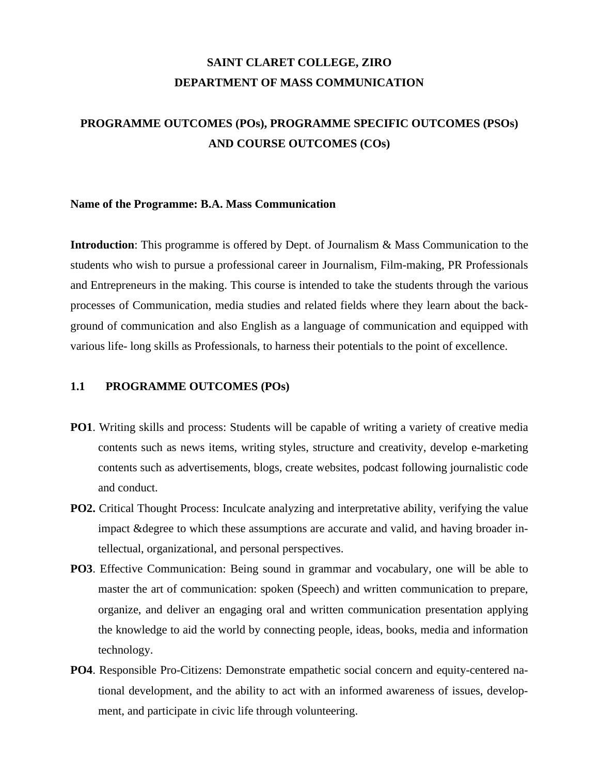# **SAINT CLARET COLLEGE, ZIRO DEPARTMENT OF MASS COMMUNICATION**

# **PROGRAMME OUTCOMES (POs), PROGRAMME SPECIFIC OUTCOMES (PSOs) AND COURSE OUTCOMES (COs)**

#### **Name of the Programme: B.A. Mass Communication**

**Introduction**: This programme is offered by Dept. of Journalism & Mass Communication to the students who wish to pursue a professional career in Journalism, Film-making, PR Professionals and Entrepreneurs in the making. This course is intended to take the students through the various processes of Communication, media studies and related fields where they learn about the background of communication and also English as a language of communication and equipped with various life- long skills as Professionals, to harness their potentials to the point of excellence.

### **1.1 PROGRAMME OUTCOMES (POs)**

- **PO1**. Writing skills and process: Students will be capable of writing a variety of creative media contents such as news items, writing styles, structure and creativity, develop e-marketing contents such as advertisements, blogs, create websites, podcast following journalistic code and conduct.
- **PO2.** Critical Thought Process: Inculcate analyzing and interpretative ability, verifying the value impact & degree to which these assumptions are accurate and valid, and having broader intellectual, organizational, and personal perspectives.
- **PO3**. Effective Communication: Being sound in grammar and vocabulary, one will be able to master the art of communication: spoken (Speech) and written communication to prepare, organize, and deliver an engaging oral and written communication presentation applying the knowledge to aid the world by connecting people, ideas, books, media and information technology.
- **PO4**. Responsible Pro-Citizens: Demonstrate empathetic social concern and equity-centered national development, and the ability to act with an informed awareness of issues, development, and participate in civic life through volunteering.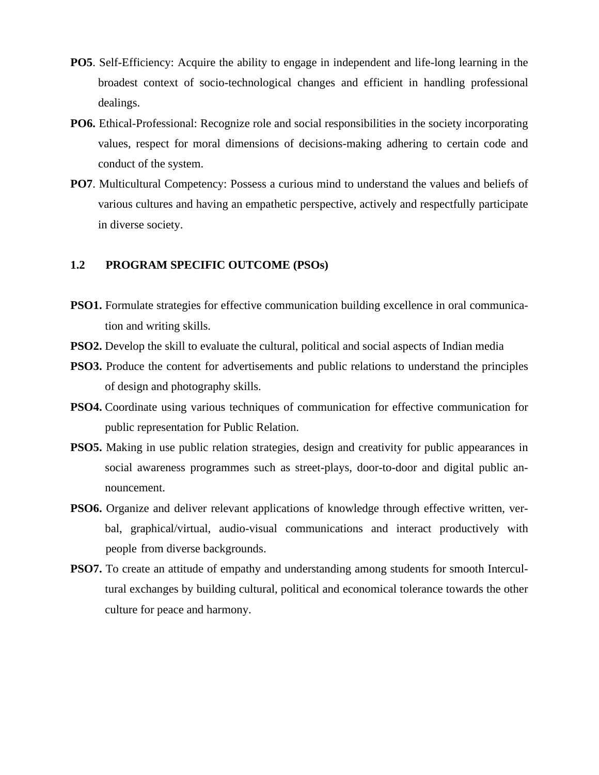- **PO5**. Self-Efficiency: Acquire the ability to engage in independent and life-long learning in the broadest context of socio-technological changes and efficient in handling professional dealings.
- **PO6.** Ethical-Professional: Recognize role and social responsibilities in the society incorporating values, respect for moral dimensions of decisions-making adhering to certain code and conduct of the system.
- **PO7**. Multicultural Competency: Possess a curious mind to understand the values and beliefs of various cultures and having an empathetic perspective, actively and respectfully participate in diverse society.

# **1.2 PROGRAM SPECIFIC OUTCOME (PSOs)**

- **PSO1.** Formulate strategies for effective communication building excellence in oral communication and writing skills.
- **PSO2.** Develop the skill to evaluate the cultural, political and social aspects of Indian media
- **PSO3.** Produce the content for advertisements and public relations to understand the principles of design and photography skills.
- **PSO4.** Coordinate using various techniques of communication for effective communication for public representation for Public Relation.
- **PSO5.** Making in use public relation strategies, design and creativity for public appearances in social awareness programmes such as street-plays, door-to-door and digital public announcement.
- **PSO6.** Organize and deliver relevant applications of knowledge through effective written, verbal, graphical/virtual, audio-visual communications and interact productively with people from diverse backgrounds.
- **PSO7.** To create an attitude of empathy and understanding among students for smooth Intercultural exchanges by building cultural, political and economical tolerance towards the other culture for peace and harmony.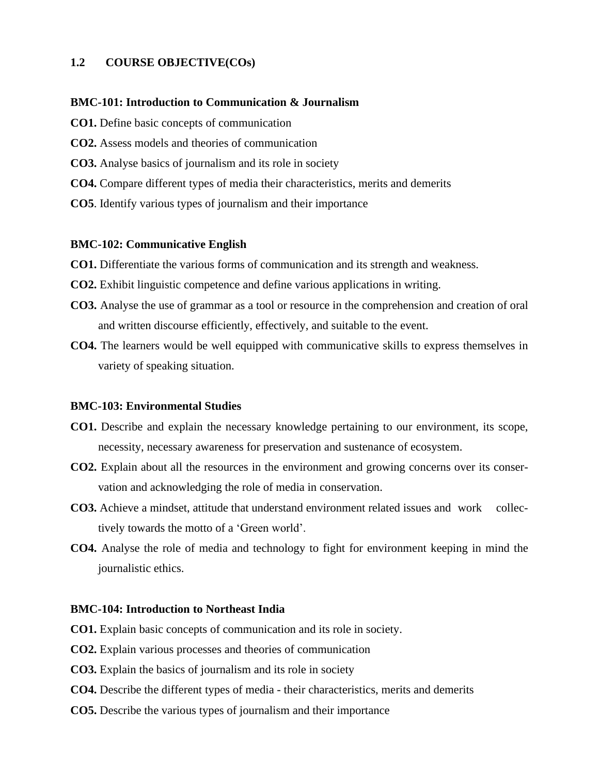# **1.2 COURSE OBJECTIVE(COs)**

## **BMC-101: Introduction to Communication & Journalism**

- **CO1.** Define basic concepts of communication
- **CO2.** Assess models and theories of communication
- **CO3.** Analyse basics of journalism and its role in society
- **CO4.** Compare different types of media their characteristics, merits and demerits
- **CO5**. Identify various types of journalism and their importance

#### **BMC-102: Communicative English**

- **CO1.** Differentiate the various forms of communication and its strength and weakness.
- **CO2.** Exhibit linguistic competence and define various applications in writing.
- **CO3.** Analyse the use of grammar as a tool or resource in the comprehension and creation of oral and written discourse efficiently, effectively, and suitable to the event.
- **CO4.** The learners would be well equipped with communicative skills to express themselves in variety of speaking situation.

#### **BMC-103: Environmental Studies**

- **CO1.** Describe and explain the necessary knowledge pertaining to our environment, its scope, necessity, necessary awareness for preservation and sustenance of ecosystem.
- **CO2.** Explain about all the resources in the environment and growing concerns over its conservation and acknowledging the role of media in conservation.
- **CO3.** Achieve a mindset, attitude that understand environment related issues and work collectively towards the motto of a 'Green world'.
- **CO4.** Analyse the role of media and technology to fight for environment keeping in mind the journalistic ethics.

## **BMC-104: Introduction to Northeast India**

- **CO1.** Explain basic concepts of communication and its role in society.
- **CO2.** Explain various processes and theories of communication
- **CO3.** Explain the basics of journalism and its role in society
- **CO4.** Describe the different types of media their characteristics, merits and demerits
- **CO5.** Describe the various types of journalism and their importance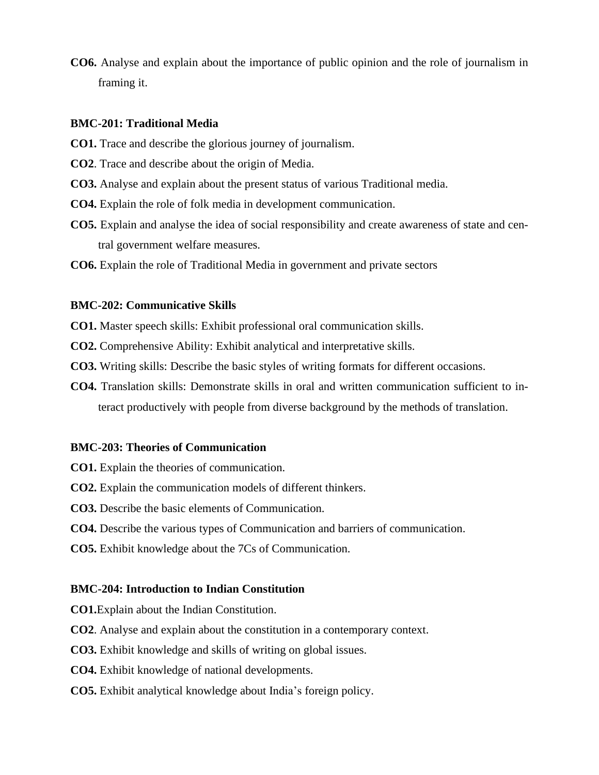**CO6.** Analyse and explain about the importance of public opinion and the role of journalism in framing it.

## **BMC-201: Traditional Media**

- **CO1.** Trace and describe the glorious journey of journalism.
- **CO2**. Trace and describe about the origin of Media.
- **CO3.** Analyse and explain about the present status of various Traditional media.
- **CO4.** Explain the role of folk media in development communication.
- **CO5.** Explain and analyse the idea of social responsibility and create awareness of state and central government welfare measures.
- **CO6.** Explain the role of Traditional Media in government and private sectors

#### **BMC-202: Communicative Skills**

**CO1.** Master speech skills: Exhibit professional oral communication skills.

- **CO2.** Comprehensive Ability: Exhibit analytical and interpretative skills.
- **CO3.** Writing skills: Describe the basic styles of writing formats for different occasions.
- **CO4.** Translation skills: Demonstrate skills in oral and written communication sufficient to interact productively with people from diverse background by the methods of translation.

#### **BMC-203: Theories of Communication**

- **CO1.** Explain the theories of communication.
- **CO2.** Explain the communication models of different thinkers.
- **CO3.** Describe the basic elements of Communication.
- **CO4.** Describe the various types of Communication and barriers of communication.
- **CO5.** Exhibit knowledge about the 7Cs of Communication.

#### **BMC-204: Introduction to Indian Constitution**

**CO1.**Explain about the Indian Constitution.

- **CO2**. Analyse and explain about the constitution in a contemporary context.
- **CO3.** Exhibit knowledge and skills of writing on global issues.
- **CO4.** Exhibit knowledge of national developments.
- **CO5.** Exhibit analytical knowledge about India's foreign policy.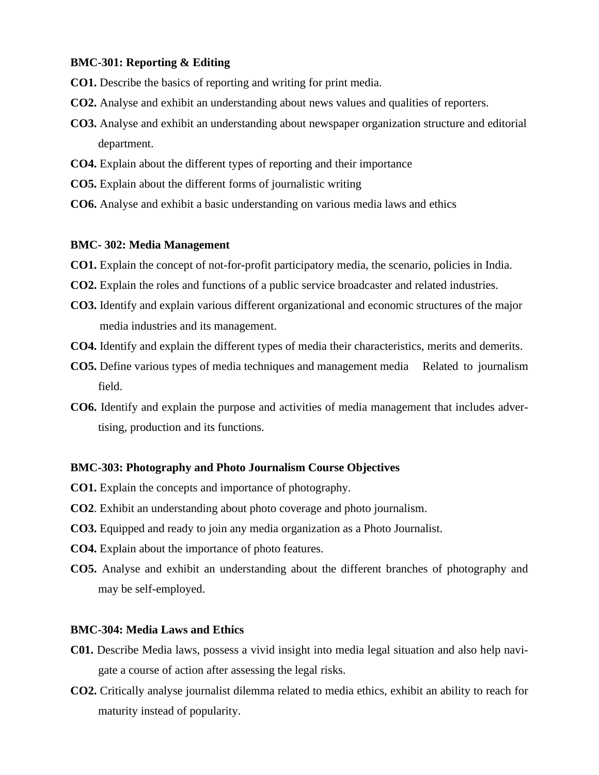## **BMC-301: Reporting & Editing**

- **CO1.** Describe the basics of reporting and writing for print media.
- **CO2.** Analyse and exhibit an understanding about news values and qualities of reporters.
- **CO3.** Analyse and exhibit an understanding about newspaper organization structure and editorial department.
- **CO4.** Explain about the different types of reporting and their importance
- **CO5.** Explain about the different forms of journalistic writing
- **CO6.** Analyse and exhibit a basic understanding on various media laws and ethics

#### **BMC- 302: Media Management**

- **CO1.** Explain the concept of not-for-profit participatory media, the scenario, policies in India.
- **CO2.** Explain the roles and functions of a public service broadcaster and related industries.
- **CO3.** Identify and explain various different organizational and economic structures of the major media industries and its management.
- **CO4.** Identify and explain the different types of media their characteristics, merits and demerits.
- **CO5.** Define various types of media techniques and management media Related to journalism field.
- **CO6.** Identify and explain the purpose and activities of media management that includes advertising, production and its functions.

#### **BMC-303: Photography and Photo Journalism Course Objectives**

- **CO1.** Explain the concepts and importance of photography.
- **CO2**. Exhibit an understanding about photo coverage and photo journalism.
- **CO3.** Equipped and ready to join any media organization as a Photo Journalist.
- **CO4.** Explain about the importance of photo features.
- **CO5.** Analyse and exhibit an understanding about the different branches of photography and may be self-employed.

## **BMC-304: Media Laws and Ethics**

- **C01.** Describe Media laws, possess a vivid insight into media legal situation and also help navigate a course of action after assessing the legal risks.
- **CO2.** Critically analyse journalist dilemma related to media ethics, exhibit an ability to reach for maturity instead of popularity.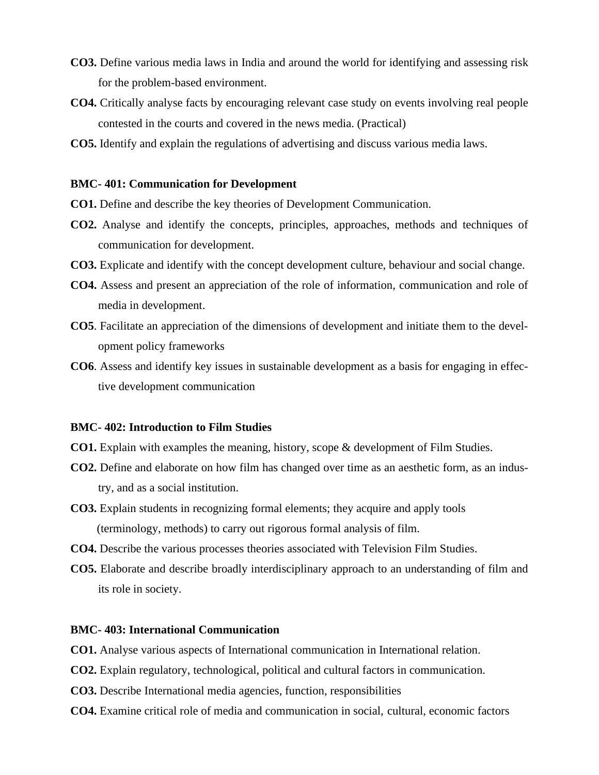- **CO3.** Define various media laws in India and around the world for identifying and assessing risk for the problem-based environment.
- **CO4.** Critically analyse facts by encouraging relevant case study on events involving real people contested in the courts and covered in the news media. (Practical)
- **CO5.** Identify and explain the regulations of advertising and discuss various media laws.

#### **BMC- 401: Communication for Development**

- **CO1.** Define and describe the key theories of Development Communication.
- **CO2.** Analyse and identify the concepts, principles, approaches, methods and techniques of communication for development.
- **CO3.** Explicate and identify with the concept development culture, behaviour and social change.
- **CO4.** Assess and present an appreciation of the role of information, communication and role of media in development.
- **CO5**. Facilitate an appreciation of the dimensions of development and initiate them to the development policy frameworks
- **CO6**. Assess and identify key issues in sustainable development as a basis for engaging in effective development communication

## **BMC- 402: Introduction to Film Studies**

- **CO1.** Explain with examples the meaning, history, scope & development of Film Studies.
- **CO2.** Define and elaborate on how film has changed over time as an aesthetic form, as an industry, and as a social institution.
- **CO3.** Explain students in recognizing formal elements; they acquire and apply tools (terminology, methods) to carry out rigorous formal analysis of film.
- **CO4.** Describe the various processes theories associated with Television Film Studies.
- **CO5.** Elaborate and describe broadly interdisciplinary approach to an understanding of film and its role in society.

# **BMC- 403: International Communication**

- **CO1.** Analyse various aspects of International communication in International relation.
- **CO2.** Explain regulatory, technological, political and cultural factors in communication.
- **CO3.** Describe International media agencies, function, responsibilities
- **CO4.** Examine critical role of media and communication in social, cultural, economic factors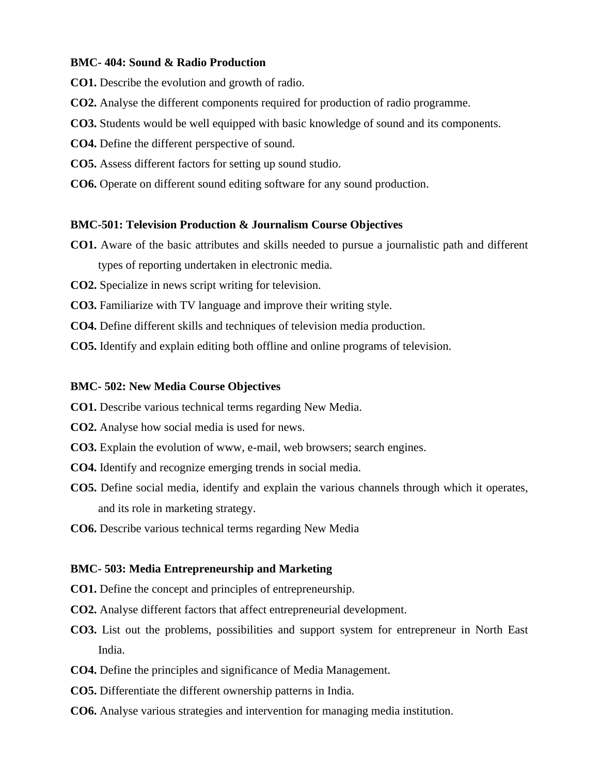## **BMC- 404: Sound & Radio Production**

- **CO1.** Describe the evolution and growth of radio.
- **CO2.** Analyse the different components required for production of radio programme.
- **CO3.** Students would be well equipped with basic knowledge of sound and its components.
- **CO4.** Define the different perspective of sound.
- **CO5.** Assess different factors for setting up sound studio.
- **CO6.** Operate on different sound editing software for any sound production.

#### **BMC-501: Television Production & Journalism Course Objectives**

- **CO1.** Aware of the basic attributes and skills needed to pursue a journalistic path and different types of reporting undertaken in electronic media.
- **CO2.** Specialize in news script writing for television.
- **CO3.** Familiarize with TV language and improve their writing style.
- **CO4.** Define different skills and techniques of television media production.
- **CO5.** Identify and explain editing both offline and online programs of television.

#### **BMC- 502: New Media Course Objectives**

- **CO1.** Describe various technical terms regarding New Media.
- **CO2.** Analyse how social media is used for news.
- **CO3.** Explain the evolution of www, e-mail, web browsers; search engines.
- **CO4.** Identify and recognize emerging trends in social media.
- **CO5.** Define social media, identify and explain the various channels through which it operates, and its role in marketing strategy.
- **CO6.** Describe various technical terms regarding New Media

### **BMC- 503: Media Entrepreneurship and Marketing**

- **CO1.** Define the concept and principles of entrepreneurship.
- **CO2.** Analyse different factors that affect entrepreneurial development.
- **CO3.** List out the problems, possibilities and support system for entrepreneur in North East India.
- **CO4.** Define the principles and significance of Media Management.
- **CO5.** Differentiate the different ownership patterns in India.
- **CO6.** Analyse various strategies and intervention for managing media institution.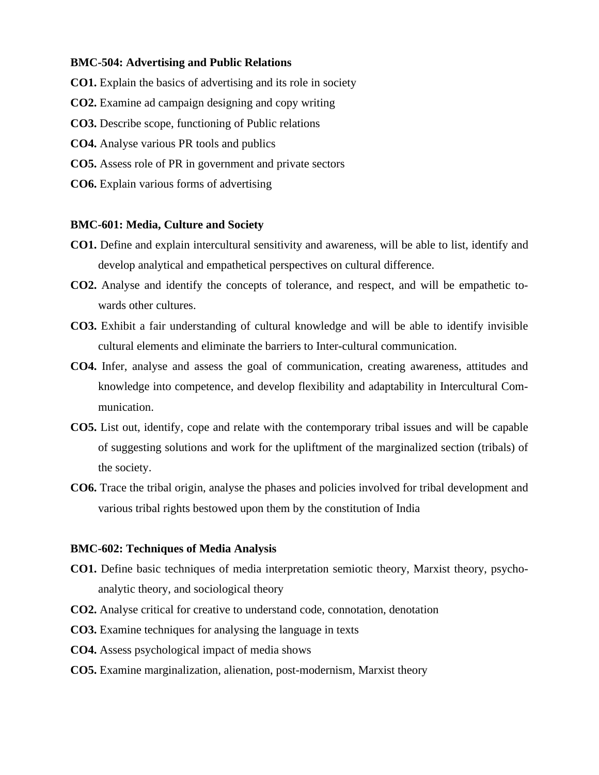#### **BMC-504: Advertising and Public Relations**

- **CO1.** Explain the basics of advertising and its role in society
- **CO2.** Examine ad campaign designing and copy writing
- **CO3.** Describe scope, functioning of Public relations
- **CO4.** Analyse various PR tools and publics
- **CO5.** Assess role of PR in government and private sectors
- **CO6.** Explain various forms of advertising

#### **BMC-601: Media, Culture and Society**

- **CO1.** Define and explain intercultural sensitivity and awareness, will be able to list, identify and develop analytical and empathetical perspectives on cultural difference.
- **CO2.** Analyse and identify the concepts of tolerance, and respect, and will be empathetic towards other cultures.
- **CO3.** Exhibit a fair understanding of cultural knowledge and will be able to identify invisible cultural elements and eliminate the barriers to Inter-cultural communication.
- **CO4.** Infer, analyse and assess the goal of communication, creating awareness, attitudes and knowledge into competence, and develop flexibility and adaptability in Intercultural Communication.
- **CO5.** List out, identify, cope and relate with the contemporary tribal issues and will be capable of suggesting solutions and work for the upliftment of the marginalized section (tribals) of the society.
- **CO6.** Trace the tribal origin, analyse the phases and policies involved for tribal development and various tribal rights bestowed upon them by the constitution of India

## **BMC-602: Techniques of Media Analysis**

- **CO1.** Define basic techniques of media interpretation semiotic theory, Marxist theory, psychoanalytic theory, and sociological theory
- **CO2.** Analyse critical for creative to understand code, connotation, denotation
- **CO3.** Examine techniques for analysing the language in texts
- **CO4.** Assess psychological impact of media shows
- **CO5.** Examine marginalization, alienation, post-modernism, Marxist theory